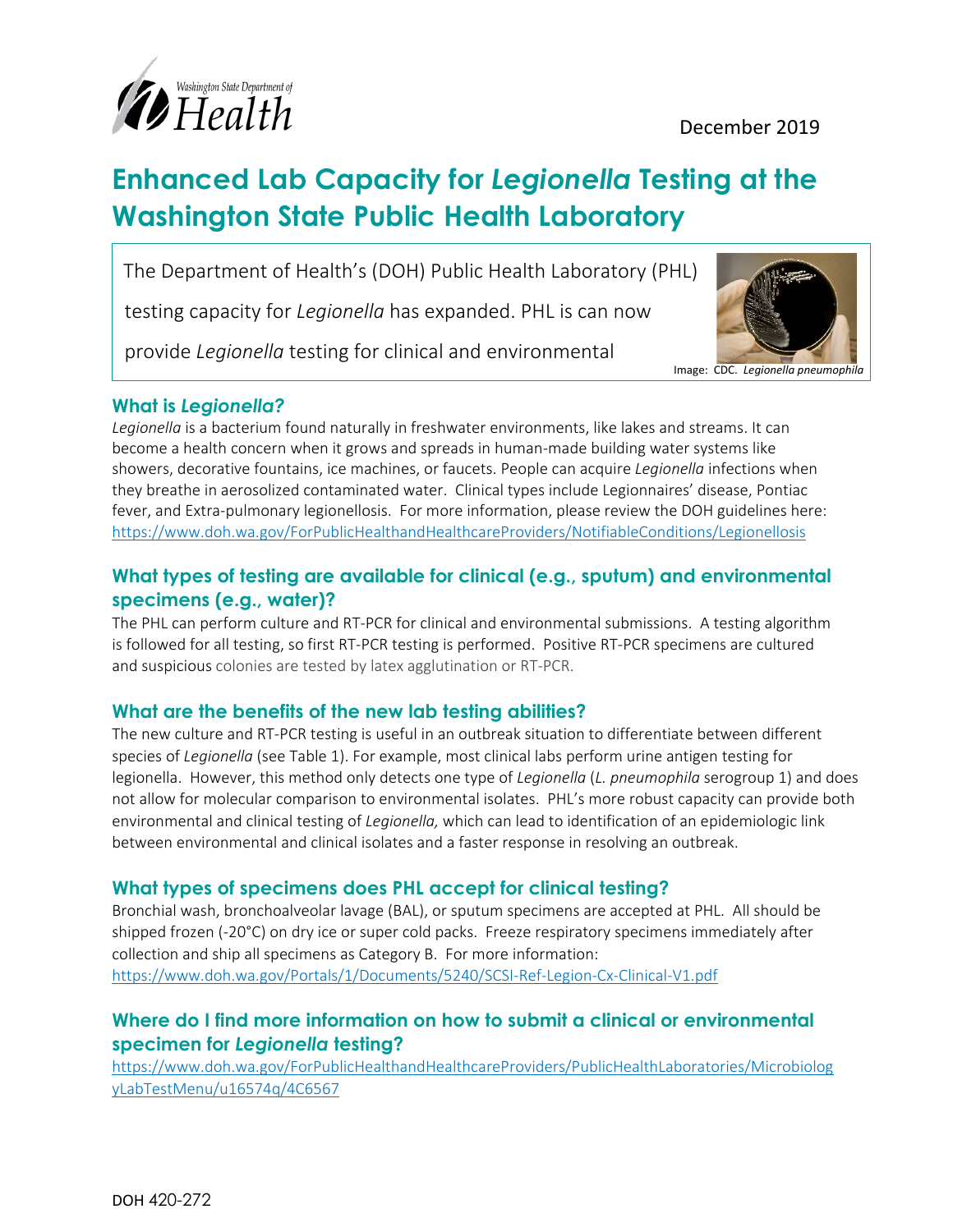

# **Enhanced Lab Capacity for** *Legionella* **Testing at the Washington State Public Health Laboratory**

The Department of Health's (DOH) Public Health Laboratory (PHL)

testing capacity for *Legionella* has expanded. PHL is can now

provide *Legionella* testing for clinical and environmental



#### **What is** *Legionella?*

 $\overline{\phantom{a}}$ 

 $\overline{a}$ 

*Legionella* is a bacterium found naturally in freshwater environments, like lakes and streams. It can become a health concern when it grows and spreads in human-made building water systems like showers, decorative fountains, ice machines, or faucets. People can acquire *Legionella* infections when they breathe in aerosolized contaminated water. Clinical types include Legionnaires' disease, Pontiac fever, and Extra-pulmonary legionellosis. For more information, please review the DOH guidelines here: <https://www.doh.wa.gov/ForPublicHealthandHealthcareProviders/NotifiableConditions/Legionellosis>

#### **What types of testing are available for clinical (e.g., sputum) and environmental specimens (e.g., water)?**

The PHL can perform culture and RT-PCR for clinical and environmental submissions. A testing algorithm is followed for all testing, so first RT-PCR testing is performed. Positive RT-PCR specimens are cultured and suspicious colonies are tested by latex agglutination or RT-PCR.

## **What are the benefits of the new lab testing abilities?**

The new culture and RT-PCR testing is useful in an outbreak situation to differentiate between different species of *Legionella* (see Table 1). For example, most clinical labs perform urine antigen testing for legionella. However, this method only detects one type of *Legionella* (*L. pneumophila* serogroup 1) and does not allow for molecular comparison to environmental isolates. PHL's more robust capacity can provide both environmental and clinical testing of *Legionella,* which can lead to identification of an epidemiologic link between environmental and clinical isolates and a faster response in resolving an outbreak.

## **What types of specimens does PHL accept for clinical testing?**

Bronchial wash, bronchoalveolar lavage (BAL), or sputum specimens are accepted at PHL. All should be shipped frozen (-20°C) on dry ice or super cold packs. Freeze respiratory specimens immediately after collection and ship all specimens as Category B. For more information: <https://www.doh.wa.gov/Portals/1/Documents/5240/SCSI-Ref-Legion-Cx-Clinical-V1.pdf>

## **Where do I find more information on how to submit a clinical or environmental specimen for** *Legionella* **testing?**

[https://www.doh.wa.gov/ForPublicHealthandHealthcareProviders/PublicHealthLaboratories/Microbiolog](https://www.doh.wa.gov/ForPublicHealthandHealthcareProviders/PublicHealthLaboratories/MicrobiologyLabTestMenu/u16574q/4C6567) [yLabTestMenu/u16574q/4C6567](https://www.doh.wa.gov/ForPublicHealthandHealthcareProviders/PublicHealthLaboratories/MicrobiologyLabTestMenu/u16574q/4C6567)